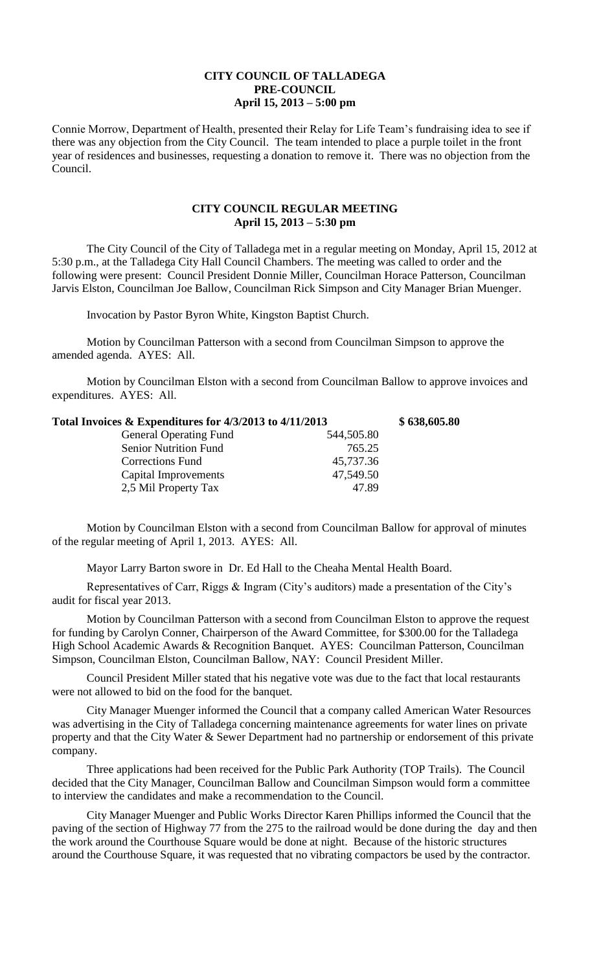## **CITY COUNCIL OF TALLADEGA PRE-COUNCIL April 15, 2013 – 5:00 pm**

Connie Morrow, Department of Health, presented their Relay for Life Team's fundraising idea to see if there was any objection from the City Council. The team intended to place a purple toilet in the front year of residences and businesses, requesting a donation to remove it. There was no objection from the Council.

## **CITY COUNCIL REGULAR MEETING April 15, 2013 – 5:30 pm**

The City Council of the City of Talladega met in a regular meeting on Monday, April 15, 2012 at 5:30 p.m., at the Talladega City Hall Council Chambers. The meeting was called to order and the following were present: Council President Donnie Miller, Councilman Horace Patterson, Councilman Jarvis Elston, Councilman Joe Ballow, Councilman Rick Simpson and City Manager Brian Muenger.

Invocation by Pastor Byron White, Kingston Baptist Church.

Motion by Councilman Patterson with a second from Councilman Simpson to approve the amended agenda. AYES: All.

Motion by Councilman Elston with a second from Councilman Ballow to approve invoices and expenditures. AYES: All.

| Total Invoices & Expenditures for 4/3/2013 to 4/11/2013 |            | \$638,605.80 |
|---------------------------------------------------------|------------|--------------|
| <b>General Operating Fund</b>                           | 544,505.80 |              |
| <b>Senior Nutrition Fund</b>                            | 765.25     |              |
| <b>Corrections Fund</b>                                 | 45,737.36  |              |
| Capital Improvements                                    | 47,549.50  |              |
| 2,5 Mil Property Tax                                    | 47.89      |              |
|                                                         |            |              |

Motion by Councilman Elston with a second from Councilman Ballow for approval of minutes of the regular meeting of April 1, 2013. AYES: All.

Mayor Larry Barton swore in Dr. Ed Hall to the Cheaha Mental Health Board.

Representatives of Carr, Riggs & Ingram (City's auditors) made a presentation of the City's audit for fiscal year 2013.

Motion by Councilman Patterson with a second from Councilman Elston to approve the request for funding by Carolyn Conner, Chairperson of the Award Committee, for \$300.00 for the Talladega High School Academic Awards & Recognition Banquet. AYES: Councilman Patterson, Councilman Simpson, Councilman Elston, Councilman Ballow, NAY: Council President Miller.

Council President Miller stated that his negative vote was due to the fact that local restaurants were not allowed to bid on the food for the banquet.

City Manager Muenger informed the Council that a company called American Water Resources was advertising in the City of Talladega concerning maintenance agreements for water lines on private property and that the City Water & Sewer Department had no partnership or endorsement of this private company.

Three applications had been received for the Public Park Authority (TOP Trails). The Council decided that the City Manager, Councilman Ballow and Councilman Simpson would form a committee to interview the candidates and make a recommendation to the Council.

City Manager Muenger and Public Works Director Karen Phillips informed the Council that the paving of the section of Highway 77 from the 275 to the railroad would be done during the day and then the work around the Courthouse Square would be done at night. Because of the historic structures around the Courthouse Square, it was requested that no vibrating compactors be used by the contractor.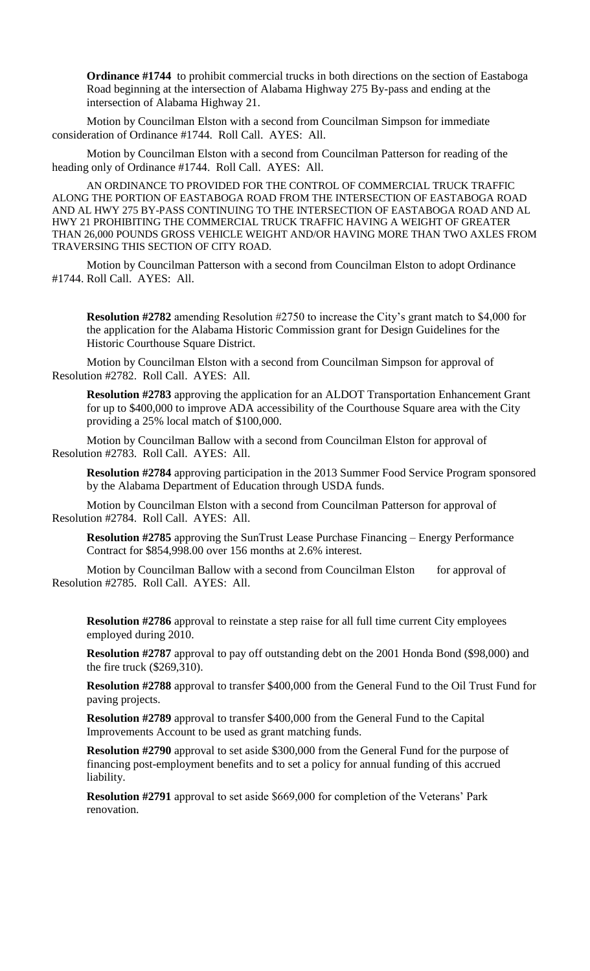**Ordinance #1744** to prohibit commercial trucks in both directions on the section of Eastaboga Road beginning at the intersection of Alabama Highway 275 By-pass and ending at the intersection of Alabama Highway 21.

Motion by Councilman Elston with a second from Councilman Simpson for immediate consideration of Ordinance #1744. Roll Call. AYES: All.

Motion by Councilman Elston with a second from Councilman Patterson for reading of the heading only of Ordinance #1744. Roll Call. AYES: All.

AN ORDINANCE TO PROVIDED FOR THE CONTROL OF COMMERCIAL TRUCK TRAFFIC ALONG THE PORTION OF EASTABOGA ROAD FROM THE INTERSECTION OF EASTABOGA ROAD AND AL HWY 275 BY-PASS CONTINUING TO THE INTERSECTION OF EASTABOGA ROAD AND AL HWY 21 PROHIBITING THE COMMERCIAL TRUCK TRAFFIC HAVING A WEIGHT OF GREATER THAN 26,000 POUNDS GROSS VEHICLE WEIGHT AND/OR HAVING MORE THAN TWO AXLES FROM TRAVERSING THIS SECTION OF CITY ROAD.

Motion by Councilman Patterson with a second from Councilman Elston to adopt Ordinance #1744. Roll Call. AYES: All.

**Resolution #2782** amending Resolution #2750 to increase the City's grant match to \$4,000 for the application for the Alabama Historic Commission grant for Design Guidelines for the Historic Courthouse Square District.

Motion by Councilman Elston with a second from Councilman Simpson for approval of Resolution #2782. Roll Call. AYES: All.

**Resolution #2783** approving the application for an ALDOT Transportation Enhancement Grant for up to \$400,000 to improve ADA accessibility of the Courthouse Square area with the City providing a 25% local match of \$100,000.

Motion by Councilman Ballow with a second from Councilman Elston for approval of Resolution #2783. Roll Call. AYES: All.

**Resolution #2784** approving participation in the 2013 Summer Food Service Program sponsored by the Alabama Department of Education through USDA funds.

Motion by Councilman Elston with a second from Councilman Patterson for approval of Resolution #2784. Roll Call. AYES: All.

**Resolution #2785** approving the SunTrust Lease Purchase Financing – Energy Performance Contract for \$854,998.00 over 156 months at 2.6% interest.

Motion by Councilman Ballow with a second from Councilman Elston for approval of Resolution #2785. Roll Call. AYES: All.

**Resolution #2786** approval to reinstate a step raise for all full time current City employees employed during 2010.

**Resolution #2787** approval to pay off outstanding debt on the 2001 Honda Bond (\$98,000) and the fire truck (\$269,310).

**Resolution #2788** approval to transfer \$400,000 from the General Fund to the Oil Trust Fund for paving projects.

**Resolution #2789** approval to transfer \$400,000 from the General Fund to the Capital Improvements Account to be used as grant matching funds.

**Resolution #2790** approval to set aside \$300,000 from the General Fund for the purpose of financing post-employment benefits and to set a policy for annual funding of this accrued liability.

**Resolution #2791** approval to set aside \$669,000 for completion of the Veterans' Park renovation.